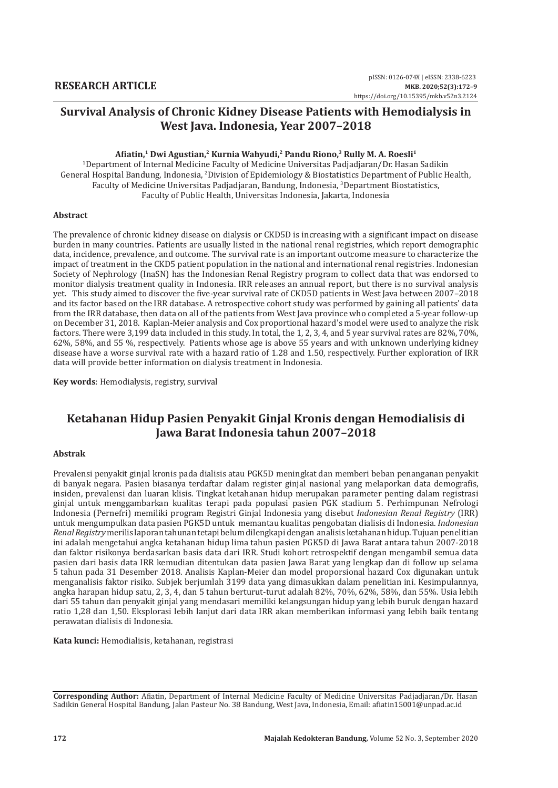### **Afiatin,1 Dwi Agustian,2 Kurnia Wahyudi,2 Pandu Riono,3 Rully M. A. Roesli1**

1 Department of Internal Medicine Faculty of Medicine Universitas Padjadjaran/Dr. Hasan Sadikin General Hospital Bandung, Indonesia, <sup>2</sup> Division of Epidemiology & Biostatistics Department of Public Health, Faculty of Medicine Universitas Padjadjaran, Bandung, Indonesia, <sup>3</sup> Department Biostatistics, Faculty of Public Health, Universitas Indonesia, Jakarta, Indonesia

### **Abstract**

The prevalence of chronic kidney disease on dialysis or CKD5D is increasing with a significant impact on disease burden in many countries. Patients are usually listed in the national renal registries, which report demographic data, incidence, prevalence, and outcome. The survival rate is an important outcome measure to characterize the impact of treatment in the CKD5 patient population in the national and international renal registries. Indonesian Society of Nephrology (InaSN) has the Indonesian Renal Registry program to collect data that was endorsed to monitor dialysis treatment quality in Indonesia. IRR releases an annual report, but there is no survival analysis yet. This study aimed to discover the five-year survival rate of CKD5D patients in West Java between 2007–2018 and its factor based on the IRR database. A retrospective cohort study was performed by gaining all patients' data from the IRR database, then data on all of the patients from West Java province who completed a 5-year follow-up on December 31, 2018. Kaplan-Meier analysis and Cox proportional hazard's model were used to analyze the risk factors. There were 3,199 data included in this study. In total, the 1, 2, 3, 4, and 5 year survival rates are 82%, 70%, 62%, 58%, and 55 %, respectively. Patients whose age is above 55 years and with unknown underlying kidney disease have a worse survival rate with a hazard ratio of 1.28 and 1.50, respectively. Further exploration of IRR data will provide better information on dialysis treatment in Indonesia.

**Key words**: Hemodialysis, registry, survival

# **Ketahanan Hidup Pasien Penyakit Ginjal Kronis dengan Hemodialisis di Jawa Barat Indonesia tahun 2007–2018**

#### **Abstrak**

Prevalensi penyakit ginjal kronis pada dialisis atau PGK5D meningkat dan memberi beban penanganan penyakit di banyak negara. Pasien biasanya terdaftar dalam register ginjal nasional yang melaporkan data demografis, insiden, prevalensi dan luaran klisis. Tingkat ketahanan hidup merupakan parameter penting dalam registrasi ginjal untuk menggambarkan kualitas terapi pada populasi pasien PGK stadium 5. Perhimpunan Nefrologi Indonesia (Pernefri) memiliki program Registri Ginjal Indonesia yang disebut *Indonesian Renal Registry* (IRR) untuk mengumpulkan data pasien PGK5D untuk memantau kualitas pengobatan dialisis di Indonesia. *Indonesian Renal Registry* merilis laporan tahunan tetapi belum dilengkapi dengan analisis ketahanan hidup. Tujuan penelitian ini adalah mengetahui angka ketahanan hidup lima tahun pasien PGK5D di Jawa Barat antara tahun 2007-2018 dan faktor risikonya berdasarkan basis data dari IRR. Studi kohort retrospektif dengan mengambil semua data pasien dari basis data IRR kemudian ditentukan data pasien Jawa Barat yang lengkap dan di follow up selama 5 tahun pada 31 Desember 2018. Analisis Kaplan-Meier dan model proporsional hazard Cox digunakan untuk menganalisis faktor risiko. Subjek berjumlah 3199 data yang dimasukkan dalam penelitian ini. Kesimpulannya, angka harapan hidup satu, 2, 3, 4, dan 5 tahun berturut-turut adalah 82%, 70%, 62%, 58%, dan 55%. Usia lebih dari 55 tahun dan penyakit ginjal yang mendasari memiliki kelangsungan hidup yang lebih buruk dengan hazard ratio 1,28 dan 1,50. Eksplorasi lebih lanjut dari data IRR akan memberikan informasi yang lebih baik tentang perawatan dialisis di Indonesia.

**Kata kunci:** Hemodialisis, ketahanan, registrasi

**Corresponding Author:** Afiatin, Department of Internal Medicine Faculty of Medicine Universitas Padjadjaran/Dr. Hasan Sadikin General Hospital Bandung, Jalan Pasteur No. 38 Bandung, West Java, Indonesia, Email: afiatin15001@unpad.ac.id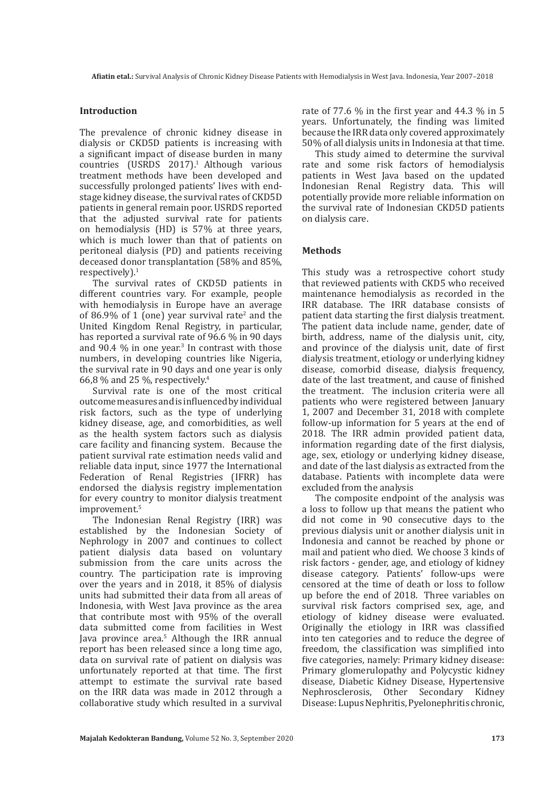### **Introduction**

The prevalence of chronic kidney disease in dialysis or CKD5D patients is increasing with a significant impact of disease burden in many countries (USRDS 2017).<sup>1</sup> Although various treatment methods have been developed and successfully prolonged patients' lives with endstage kidney disease, the survival rates of CKD5D patients in general remain poor. USRDS reported that the adjusted survival rate for patients on hemodialysis (HD) is 57% at three years, which is much lower than that of patients on peritoneal dialysis (PD) and patients receiving deceased donor transplantation (58% and 85%, respectively $l$ .<sup>1</sup>

The survival rates of CKD5D patients in different countries vary. For example, people with hemodialysis in Europe have an average of 86.9% of 1 (one) year survival rate<sup>2</sup> and the United Kingdom Renal Registry, in particular, has reported a survival rate of 96.6 % in 90 days and  $90.4\%$  in one year.<sup>3</sup> In contrast with those numbers, in developing countries like Nigeria, the survival rate in 90 days and one year is only 66,8 % and 25 %, respectively.<sup>4</sup>

Survival rate is one of the most critical outcome measures and is influenced by individual risk factors, such as the type of underlying kidney disease, age, and comorbidities, as well as the health system factors such as dialysis care facility and financing system. Because the patient survival rate estimation needs valid and reliable data input, since 1977 the International Federation of Renal Registries (IFRR) has endorsed the dialysis registry implementation for every country to monitor dialysis treatment improvement.<sup>5</sup>

The Indonesian Renal Registry (IRR) was established by the Indonesian Society of Nephrology in 2007 and continues to collect patient dialysis data based on voluntary submission from the care units across the country. The participation rate is improving over the years and in 2018, it 85% of dialysis units had submitted their data from all areas of Indonesia, with West Java province as the area that contribute most with 95% of the overall data submitted come from facilities in West Java province area.<sup>5</sup> Although the IRR annual report has been released since a long time ago, data on survival rate of patient on dialysis was unfortunately reported at that time. The first attempt to estimate the survival rate based on the IRR data was made in 2012 through a collaborative study which resulted in a survival

rate of 77.6 % in the first year and 44.3 % in 5 years. Unfortunately, the finding was limited because the IRR data only covered approximately 50% of all dialysis units in Indonesia at that time.

This study aimed to determine the survival rate and some risk factors of hemodialysis patients in West Java based on the updated Indonesian Renal Registry data. This will potentially provide more reliable information on the survival rate of Indonesian CKD5D patients on dialysis care.

### **Methods**

This study was a retrospective cohort study that reviewed patients with CKD5 who received maintenance hemodialysis as recorded in the IRR database. The IRR database consists of patient data starting the first dialysis treatment. The patient data include name, gender, date of birth, address, name of the dialysis unit, city, and province of the dialysis unit, date of first dialysis treatment, etiology or underlying kidney disease, comorbid disease, dialysis frequency, date of the last treatment, and cause of finished the treatment. The inclusion criteria were all patients who were registered between January 1, 2007 and December 31, 2018 with complete follow-up information for 5 years at the end of 2018. The IRR admin provided patient data, information regarding date of the first dialysis, age, sex, etiology or underlying kidney disease, and date of the last dialysis as extracted from the database. Patients with incomplete data were excluded from the analysis

The composite endpoint of the analysis was a loss to follow up that means the patient who did not come in 90 consecutive days to the previous dialysis unit or another dialysis unit in Indonesia and cannot be reached by phone or mail and patient who died. We choose 3 kinds of risk factors - gender, age, and etiology of kidney disease category. Patients' follow-ups were censored at the time of death or loss to follow up before the end of 2018. Three variables on survival risk factors comprised sex, age, and etiology of kidney disease were evaluated. Originally the etiology in IRR was classified into ten categories and to reduce the degree of freedom, the classification was simplified into five categories, namely: Primary kidney disease: Primary glomerulopathy and Polycystic kidney disease, Diabetic Kidney Disease, Hypertensive Nephrosclerosis, Other Secondary Kidney Disease: Lupus Nephritis, Pyelonephritis chronic,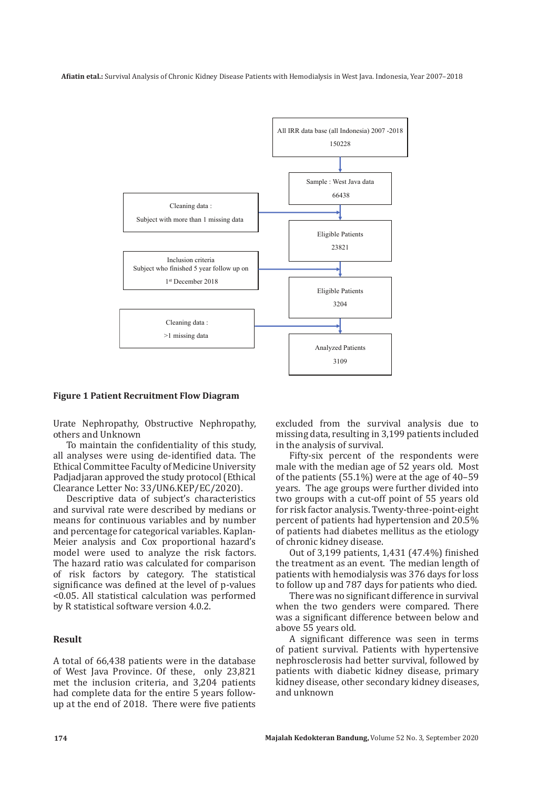

#### **Figure 1 Patient Recruitment Flow Diagram**

Urate Nephropathy, Obstructive Nephropathy, others and Unknown

To maintain the confidentiality of this study, all analyses were using de-identified data. The Ethical Committee Faculty of Medicine University Padjadjaran approved the study protocol (Ethical Clearance Letter No: 33/UN6.KEP/EC/2020).

Descriptive data of subject's characteristics and survival rate were described by medians or means for continuous variables and by number and percentage for categorical variables. Kaplan-Meier analysis and Cox proportional hazard's model were used to analyze the risk factors. The hazard ratio was calculated for comparison of risk factors by category. The statistical significance was defined at the level of p-values <0.05. All statistical calculation was performed by R statistical software version 4.0.2.

### **Result**

A total of 66,438 patients were in the database of West Java Province. Of these, only 23,821 met the inclusion criteria, and 3,204 patients had complete data for the entire 5 years followup at the end of 2018. There were five patients excluded from the survival analysis due to missing data, resulting in 3,199 patients included in the analysis of survival.

Fifty-six percent of the respondents were male with the median age of 52 years old. Most of the patients (55.1%) were at the age of 40–59 years. The age groups were further divided into two groups with a cut-off point of 55 years old for risk factor analysis. Twenty-three-point-eight percent of patients had hypertension and 20.5% of patients had diabetes mellitus as the etiology of chronic kidney disease.

Out of 3,199 patients, 1,431 (47.4%) finished the treatment as an event. The median length of patients with hemodialysis was 376 days for loss to follow up and 787 days for patients who died.

There was no significant difference in survival when the two genders were compared. There was a significant difference between below and above 55 years old.

A significant difference was seen in terms of patient survival. Patients with hypertensive nephrosclerosis had better survival, followed by patients with diabetic kidney disease, primary kidney disease, other secondary kidney diseases, and unknown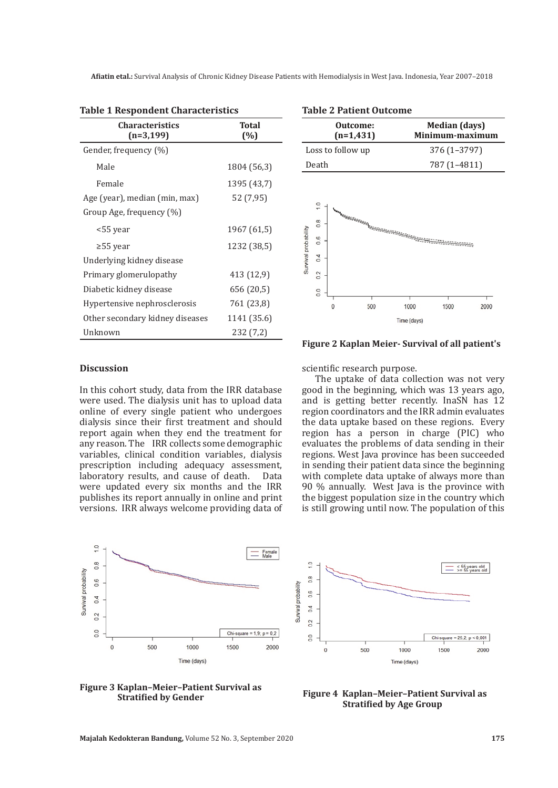| <b>Table 1 Respondent Characteristics</b> |       |  |  |
|-------------------------------------------|-------|--|--|
| <b>Characteristics</b>                    | Total |  |  |

| $(n=3, 199)$                    | (%)         |
|---------------------------------|-------------|
| Gender, frequency (%)           |             |
| Male                            | 1804 (56,3) |
| Female                          | 1395 (43,7) |
| Age (year), median (min, max)   | 52 (7,95)   |
| Group Age, frequency $(\%)$     |             |
| <55 year                        | 1967 (61,5) |
| $\geq$ 55 year                  | 1232 (38,5) |
| Underlying kidney disease       |             |
| Primary glomerulopathy          | 413 (12,9)  |
| Diabetic kidney disease         | 656 (20,5)  |
| Hypertensive nephrosclerosis    | 761 (23,8)  |
| Other secondary kidney diseases | 1141 (35.6) |
| Unknown                         | 232 (7,2)   |

**Outcome: Median (days) Minimum-maximum (n=1,431)** Loss to follow up  $376 (1-3797)$ Death 787 (1–4811)  $1.0$  $\frac{8}{2}$ Survival probability  $0.6$  $04$  $0.2$  $\overline{0}$ 1500  $\Omega$ 500 1000 2000 Time (days)

#### **Discussion**

In this cohort study, data from the IRR database were used. The dialysis unit has to upload data online of every single patient who undergoes dialysis since their first treatment and should report again when they end the treatment for any reason. The IRR collects some demographic variables, clinical condition variables, dialysis prescription including adequacy assessment,<br>laboratory results, and cause of death. Data laboratory results, and cause of death. were updated every six months and the IRR publishes its report annually in online and print versions. IRR always welcome providing data of scientific research purpose.

The uptake of data collection was not very good in the beginning, which was 13 years ago, and is getting better recently. InaSN has 12 region coordinators and the IRR admin evaluates the data uptake based on these regions. Every region has a person in charge (PIC) who evaluates the problems of data sending in their regions. West Java province has been succeeded in sending their patient data since the beginning with complete data uptake of always more than 90 % annually. West Java is the province with the biggest population size in the country which is still growing until now. The population of this

**Figure 2 Kaplan Meier- Survival of all patient's**





**Figure 3 Kaplan–Meier–Patient Survival as** 



### **Table 2 Patient Outcome**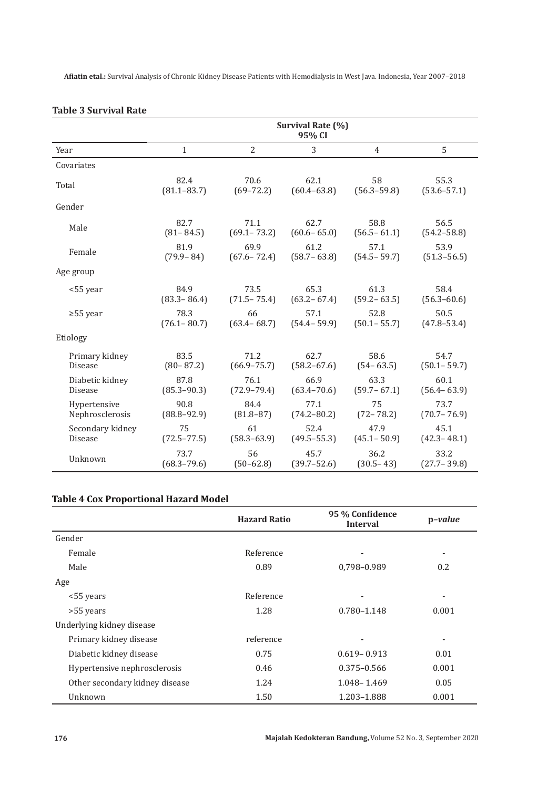|                  | Survival Rate (%)<br>95% CI |                 |                 |                 |                 |
|------------------|-----------------------------|-----------------|-----------------|-----------------|-----------------|
| Year             | $\mathbf{1}$                | $\overline{2}$  | 3               | 4               | 5               |
| Covariates       |                             |                 |                 |                 |                 |
| Total            | 82.4                        | 70.6            | 62.1            | 58              | 55.3            |
|                  | $(81.1 - 83.7)$             | $(69 - 72.2)$   | $(60.4 - 63.8)$ | $(56.3 - 59.8)$ | $(53.6 - 57.1)$ |
| Gender           |                             |                 |                 |                 |                 |
| Male             | 82.7                        | 71.1            | 62.7            | 58.8            | 56.5            |
|                  | $(81 - 84.5)$               | $(69.1 - 73.2)$ | $(60.6 - 65.0)$ | $(56.5 - 61.1)$ | $(54.2 - 58.8)$ |
| Female           | 81.9                        | 69.9            | 61.2            | 57.1            | 53.9            |
|                  | $(79.9 - 84)$               | $(67.6 - 72.4)$ | $(58.7 - 63.8)$ | $(54.5 - 59.7)$ | $(51.3 - 56.5)$ |
| Age group        |                             |                 |                 |                 |                 |
| <55 year         | 84.9                        | 73.5            | 65.3            | 61.3            | 58.4            |
|                  | $(83.3 - 86.4)$             | $(71.5 - 75.4)$ | $(63.2 - 67.4)$ | $(59.2 - 63.5)$ | $(56.3 - 60.6)$ |
| $\geq 55$ year   | 78.3                        | 66              | 57.1            | 52.8            | 50.5            |
|                  | $(76.1 - 80.7)$             | $(63.4 - 68.7)$ | $(54.4 - 59.9)$ | $(50.1 - 55.7)$ | $(47.8 - 53.4)$ |
| Etiology         |                             |                 |                 |                 |                 |
| Primary kidney   | 83.5                        | 71.2            | 62.7            | 58.6            | 54.7            |
| <b>Disease</b>   | $(80 - 87.2)$               | $(66.9 - 75.7)$ | $(58.2 - 67.6)$ | $(54 - 63.5)$   | $(50.1 - 59.7)$ |
| Diabetic kidney  | 87.8                        | 76.1            | 66.9            | 63.3            | 60.1            |
| Disease          | $(85.3 - 90.3)$             | $(72.9 - 79.4)$ | $(63.4 - 70.6)$ | $(59.7 - 67.1)$ | $(56.4 - 63.9)$ |
| Hypertensive     | 90.8                        | 84.4            | 77.1            | 75              | 73.7            |
| Nephrosclerosis  | $(88.8 - 92.9)$             | $(81.8 - 87)$   | $(74.2 - 80.2)$ | $(72 - 78.2)$   | $(70.7 - 76.9)$ |
| Secondary kidney | 75                          | 61              | 52.4            | 47.9            | 45.1            |
| Disease          | $(72.5 - 77.5)$             | $(58.3 - 63.9)$ | $(49.5 - 55.3)$ | $(45.1 - 50.9)$ | $(42.3 - 48.1)$ |
| Unknown          | 73.7                        | 56              | 45.7            | 36.2            | 33.2            |
|                  | $(68.3 - 79.6)$             | $(50 - 62.8)$   | $(39.7 - 52.6)$ | $(30.5 - 43)$   | $(27.7 - 39.8)$ |

### **Table 3 Survival Rate**

## **Table 4 Cox Proportional Hazard Model**

|                                | <b>Hazard Ratio</b> | 95 % Confidence<br><b>Interval</b> | $p-value$ |
|--------------------------------|---------------------|------------------------------------|-----------|
| Gender                         |                     |                                    |           |
| Female                         | Reference           |                                    | ٠         |
| Male                           | 0.89                | 0,798-0.989                        | 0.2       |
| Age                            |                     |                                    |           |
| <55 years                      | Reference           |                                    | ٠         |
| >55 years                      | 1.28                | 0.780-1.148                        | 0.001     |
| Underlying kidney disease      |                     |                                    |           |
| Primary kidney disease         | reference           |                                    | -         |
| Diabetic kidney disease        | 0.75                | $0.619 - 0.913$                    | 0.01      |
| Hypertensive nephrosclerosis   | 0.46                | $0.375 - 0.566$                    | 0.001     |
| Other secondary kidney disease | 1.24                | 1.048 - 1.469                      | 0.05      |
| Unknown                        | 1.50                | 1.203-1.888                        | 0.001     |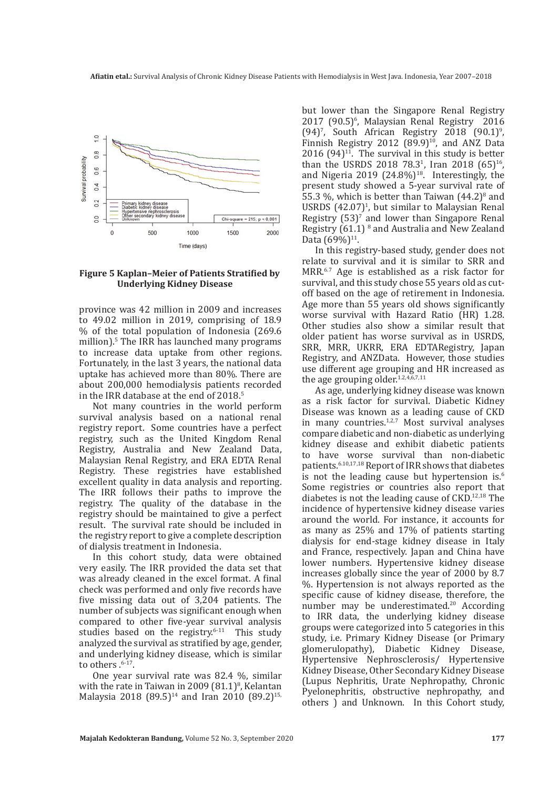

### **Figure 5 Kaplan–Meier of Patients Stratified by Underlying Kidney Disease**

province was 42 million in 2009 and increases to 49.02 million in 2019, comprising of 18.9 % of the total population of Indonesia (269.6 million).<sup>5</sup> The IRR has launched many programs to increase data uptake from other regions. Fortunately, in the last 3 years, the national data uptake has achieved more than 80%. There are about 200,000 hemodialysis patients recorded in the IRR database at the end of 2018.<sup>5</sup>

Not many countries in the world perform survival analysis based on a national renal registry report. Some countries have a perfect registry, such as the United Kingdom Renal Registry, Australia and New Zealand Data, Malaysian Renal Registry, and ERA EDTA Renal Registry. These registries have established excellent quality in data analysis and reporting. The IRR follows their paths to improve the registry. The quality of the database in the registry should be maintained to give a perfect result. The survival rate should be included in the registry report to give a complete description of dialysis treatment in Indonesia.

In this cohort study, data were obtained very easily. The IRR provided the data set that was already cleaned in the excel format. A final check was performed and only five records have five missing data out of 3,204 patients. The number of subjects was significant enough when compared to other five-year survival analysis studies based on the registry.<sup>6-11</sup> This study analyzed the survival as stratified by age, gender, and underlying kidney disease, which is similar to others .<sup>6-17</sup>.

One year survival rate was 82.4 %, similar with the rate in Taiwan in 2009  $(81.1)^8$ , Kelantan Malaysia 2018 (89.5)<sup>14</sup> and Iran 2010 (89.2)<sup>15,</sup>

but lower than the Singapore Renal Registry  $2017$  (90.5)<sup>6</sup>, Malaysian Renal Registry 2016  $(94)'$ , South African Registry 2018  $(90.1)$ <sup>9</sup>, Finnish Registry 2012  $(89.9)^{10}$ , and ANZ Data 2016  $(94)^{11}$ . The survival in this study is better than the USRDS 2018  $78.3^1$ , Iran 2018  $(65)^{16}$ , and Nigeria 2019  $(24.8\%)^{18}$ . Interestingly, the present study showed a 5-year survival rate of 55.3  $\%$ , which is better than Taiwan  $(44.2)^8$  and USRDS  $(42.07)^1$ , but similar to Malaysian Renal Registry  $(53)^7$  and lower than Singapore Renal Registry  $(61.1)$ <sup>8</sup> and Australia and New Zealand Data (69%)<sup>11</sup>.

In this registry-based study, gender does not relate to survival and it is similar to SRR and MRR.6.7 Age is established as a risk factor for survival, and this study chose 55 years old as cutoff based on the age of retirement in Indonesia. Age more than 55 years old shows significantly worse survival with Hazard Ratio (HR) 1.28. Other studies also show a similar result that older patient has worse survival as in USRDS, SRR, MRR, UKRR, ERA EDTARegistry, Japan Registry, and ANZData. However, those studies use different age grouping and HR increased as the age grouping older. $1.2,4,6,7,11$ 

As age, underlying kidney disease was known as a risk factor for survival. Diabetic Kidney Disease was known as a leading cause of CKD in many countries.<sup>1,2,7</sup> Most survival analyses compare diabetic and non-diabetic as underlying kidney disease and exhibit diabetic patients to have worse survival than non-diabetic patients.6.10,17,18 Report of IRR shows that diabetes is not the leading cause but hypertension is.<sup>6</sup> Some registries or countries also report that diabetes is not the leading cause of CKD.12,18 The incidence of hypertensive kidney disease varies around the world. For instance, it accounts for as many as 25% and 17% of patients starting dialysis for end-stage kidney disease in Italy and France, respectively. Japan and China have lower numbers. Hypertensive kidney disease increases globally since the year of 2000 by 8.7 %. Hypertension is not always reported as the specific cause of kidney disease, therefore, the number may be underestimated.<sup>20</sup> According to IRR data, the underlying kidney disease groups were categorized into 5 categories in this study, i.e. Primary Kidney Disease (or Primary glomerulopathy), Diabetic Kidney Disease, Hypertensive Nephrosclerosis/ Hypertensive Kidney Disease, Other Secondary Kidney Disease (Lupus Nephritis, Urate Nephropathy, Chronic Pyelonephritis, obstructive nephropathy, and others ) and Unknown. In this Cohort study,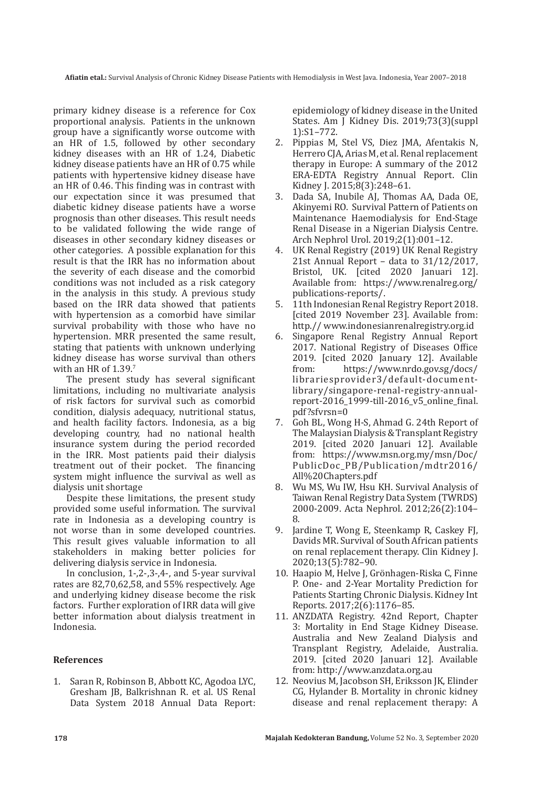primary kidney disease is a reference for Cox proportional analysis. Patients in the unknown group have a significantly worse outcome with an HR of 1.5, followed by other secondary kidney diseases with an HR of 1.24, Diabetic kidney disease patients have an HR of 0.75 while patients with hypertensive kidney disease have an HR of 0.46. This finding was in contrast with our expectation since it was presumed that diabetic kidney disease patients have a worse prognosis than other diseases. This result needs to be validated following the wide range of diseases in other secondary kidney diseases or other categories. A possible explanation for this result is that the IRR has no information about the severity of each disease and the comorbid conditions was not included as a risk category in the analysis in this study. A previous study based on the IRR data showed that patients with hypertension as a comorbid have similar survival probability with those who have no hypertension. MRR presented the same result, stating that patients with unknown underlying kidney disease has worse survival than others with an HR of 1.39.7

The present study has several significant limitations, including no multivariate analysis of risk factors for survival such as comorbid condition, dialysis adequacy, nutritional status, and health facility factors. Indonesia, as a big developing country, had no national health insurance system during the period recorded in the IRR. Most patients paid their dialysis treatment out of their pocket. The financing system might influence the survival as well as dialysis unit shortage

Despite these limitations, the present study provided some useful information. The survival rate in Indonesia as a developing country is not worse than in some developed countries. This result gives valuable information to all stakeholders in making better policies for delivering dialysis service in Indonesia.

In conclusion, 1-,2-,3-,4-, and 5-year survival rates are 82,70,62,58, and 55% respectively. Age and underlying kidney disease become the risk factors. Further exploration of IRR data will give better information about dialysis treatment in Indonesia.

### **References**

1. Saran R, Robinson B, Abbott KC, Agodoa LYC, Gresham JB, Balkrishnan R. et al. US Renal Data System 2018 Annual Data Report: epidemiology of kidney disease in the United States. Am J Kidney Dis. 2019;73(3)(suppl 1):S1–772.

- 2. Pippias M, Stel VS, Diez JMA, Afentakis N, Herrero CJA, Arias M, et al. Renal replacement therapy in Europe: A summary of the 2012 ERA-EDTA Registry Annual Report. Clin Kidney J. 2015;8(3):248–61.
- 3. Dada SA, Inubile AJ, Thomas AA, Dada OE, Akinyemi RO. Survival Pattern of Patients on Maintenance Haemodialysis for End-Stage Renal Disease in a Nigerian Dialysis Centre. Arch Nephrol Urol. 2019;2(1):001–12.
- 4. UK Renal Registry (2019) UK Renal Registry 21st Annual Report – data to 31/12/2017, Bristol, UK. Cited 2020 Januari 12]. Available from: https://www.renalreg.org/ publications-reports/.
- 5. 11th Indonesian Renal Registry Report 2018. [cited 2019 November 23]. Available from: http.// www.indonesianrenalregistry.org.id
- 6. Singapore Renal Registry Annual Report 2017. National Registry of Diseases Office 2019. [cited 2020 January 12]. Available from  $\frac{\text{https://www. nrdo.gov.w/docs/}}{\text{https://www. nrdo.gov.w/docs/}}$ https://www.nrdo.gov.sg/docs/ librariesprovider3/default-documentlibrary/singapore-renal-registry-annualreport-2016\_1999-till-2016\_v5\_online\_final. pdf?sfvrsn=0
- 7. Goh BL, Wong H-S, Ahmad G. 24th Report of The Malaysian Dialysis & Transplant Registry 2019. [cited 2020 Januari 12]. Available from: https://www.msn.org.my/msn/Doc/ PublicDoc\_PB/Publication/mdtr2016/ All%20Chapters.pdf
- 8. Wu MS, Wu IW, Hsu KH. Survival Analysis of Taiwan Renal Registry Data System (TWRDS) 2000-2009. Acta Nephrol. 2012;26(2):104– 8.
- 9. Jardine T, Wong E, Steenkamp R, Caskey FJ, Davids MR. Survival of South African patients on renal replacement therapy. Clin Kidney J. 2020;13(5):782–90.
- 10. Haapio M, Helve J, Grönhagen-Riska C, Finne P. One- and 2-Year Mortality Prediction for Patients Starting Chronic Dialysis. Kidney Int Reports. 2017;2(6):1176–85.
- 11. ANZDATA Registry. 42nd Report, Chapter 3: Mortality in End Stage Kidney Disease. Australia and New Zealand Dialysis and Transplant Registry, Adelaide, Australia. 2019. [cited 2020 Januari 12]. Available from: http://www.anzdata.org.au
- 12. Neovius M, Jacobson SH, Eriksson JK, Elinder CG, Hylander B. Mortality in chronic kidney disease and renal replacement therapy: A